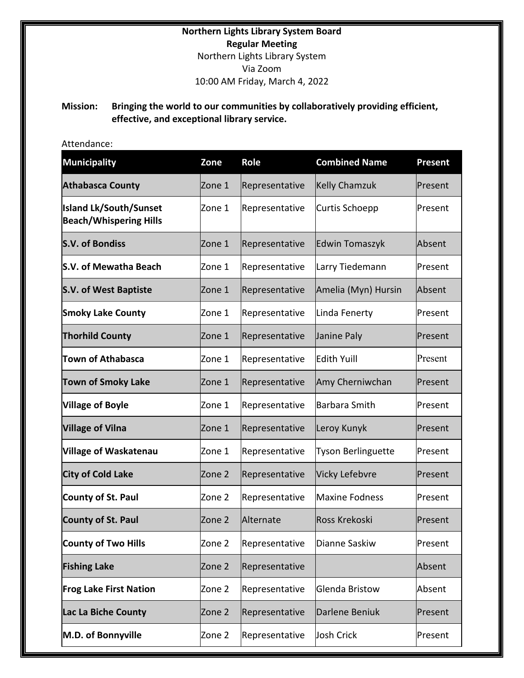# **Northern Lights Library System Board Regular Meeting**  Northern Lights Library System Via Zoom 10:00 AM Friday, March 4, 2022

## **Mission: Bringing the world to our communities by collaboratively providing efficient, effective, and exceptional library service.**

# Attendance:

| <b>Municipality</b>                                            | Zone   | Role           | <b>Combined Name</b>      | Present |
|----------------------------------------------------------------|--------|----------------|---------------------------|---------|
| <b>Athabasca County</b>                                        | Zone 1 | Representative | <b>Kelly Chamzuk</b>      | Present |
| <b>Island Lk/South/Sunset</b><br><b>Beach/Whispering Hills</b> | Zone 1 | Representative | Curtis Schoepp            | Present |
| <b>S.V. of Bondiss</b>                                         | Zone 1 | Representative | Edwin Tomaszyk            | Absent  |
| S.V. of Mewatha Beach                                          | Zone 1 | Representative | Larry Tiedemann           | Present |
| <b>S.V. of West Baptiste</b>                                   | Zone 1 | Representative | Amelia (Myn) Hursin       | Absent  |
| <b>Smoky Lake County</b>                                       | Zone 1 | Representative | Linda Fenerty             | Present |
| <b>Thorhild County</b>                                         | Zone 1 | Representative | Janine Paly               | Present |
| <b>Town of Athabasca</b>                                       | Zone 1 | Representative | <b>Edith Yuill</b>        | Present |
| <b>Town of Smoky Lake</b>                                      | Zone 1 | Representative | Amy Cherniwchan           | Present |
| <b>Village of Boyle</b>                                        | Zone 1 | Representative | <b>Barbara Smith</b>      | Present |
| <b>Village of Vilna</b>                                        | Zone 1 | Representative | Leroy Kunyk               | Present |
| <b>Village of Waskatenau</b>                                   | Zone 1 | Representative | <b>Tyson Berlinguette</b> | Present |
| <b>City of Cold Lake</b>                                       | Zone 2 | Representative | Vicky Lefebvre            | Present |
| <b>County of St. Paul</b>                                      | Zone 2 | Representative | <b>Maxine Fodness</b>     | Present |
| <b>County of St. Paul</b>                                      | Zone 2 | Alternate      | Ross Krekoski             | Present |
| <b>County of Two Hills</b>                                     | Zone 2 | Representative | Dianne Saskiw             | Present |
| <b>Fishing Lake</b>                                            | Zone 2 | Representative |                           | Absent  |
| <b>Frog Lake First Nation</b>                                  | Zone 2 | Representative | Glenda Bristow            | Absent  |
| Lac La Biche County                                            | Zone 2 | Representative | Darlene Beniuk            | Present |
| M.D. of Bonnyville                                             | Zone 2 | Representative | <b>Josh Crick</b>         | Present |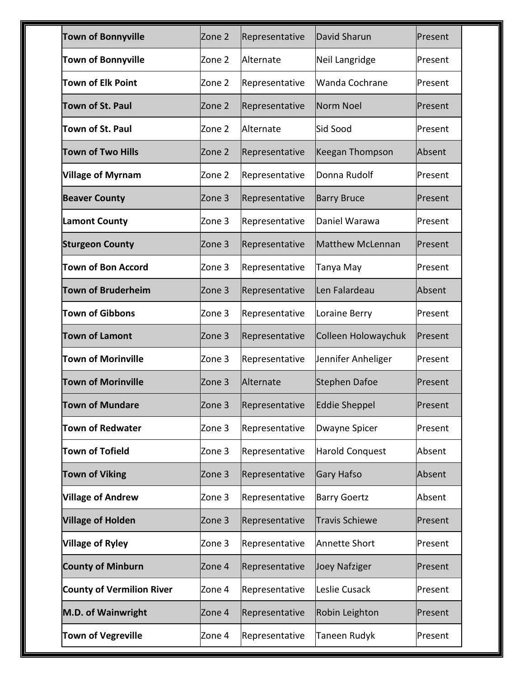| <b>Town of Bonnyville</b>        | Zone 2 | Representative | David Sharun            | Present  |
|----------------------------------|--------|----------------|-------------------------|----------|
| <b>Town of Bonnyville</b>        | Zone 2 | Alternate      | Neil Langridge          | lPresent |
| <b>Town of Elk Point</b>         | Zone 2 | Representative | Wanda Cochrane          | Present  |
| <b>Town of St. Paul</b>          | Zone 2 | Representative | Norm Noel               | Present  |
| Town of St. Paul                 | Zone 2 | Alternate      | Sid Sood                | Present  |
| <b>Town of Two Hills</b>         | Zone 2 | Representative | Keegan Thompson         | Absent   |
| <b>Village of Myrnam</b>         | Zone 2 | Representative | Donna Rudolf            | Present  |
| <b>Beaver County</b>             | Zone 3 | Representative | <b>Barry Bruce</b>      | lPresent |
| <b>Lamont County</b>             | Zone 3 | Representative | Daniel Warawa           | Present  |
| <b>Sturgeon County</b>           | Zone 3 | Representative | <b>Matthew McLennan</b> | Present  |
| <b>Town of Bon Accord</b>        | Zone 3 | Representative | Tanya May               | Present  |
| <b>Town of Bruderheim</b>        | Zone 3 | Representative | Len Falardeau           | Absent   |
| <b>Town of Gibbons</b>           | Zone 3 | Representative | Loraine Berry           | Present  |
| <b>Town of Lamont</b>            | Zone 3 | Representative | Colleen Holowaychuk     | Present  |
| <b>Town of Morinville</b>        | Zone 3 | Representative | Jennifer Anheliger      | Present  |
| <b>Town of Morinville</b>        | Zone 3 | Alternate      | <b>Stephen Dafoe</b>    | Present  |
| Town of Mundare                  | Zone 3 | Representative | Eddie Sheppel           | Present  |
| <b>Town of Redwater</b>          | Zone 3 | Representative | Dwayne Spicer           | Present  |
| <b>Town of Tofield</b>           | Zone 3 | Representative | Harold Conquest         | Absent   |
| <b>Town of Viking</b>            | Zone 3 | Representative | Gary Hafso              | Absent   |
| <b>Village of Andrew</b>         | Zone 3 | Representative | <b>Barry Goertz</b>     | Absent   |
| <b>Village of Holden</b>         | Zone 3 | Representative | <b>Travis Schiewe</b>   | Present  |
| <b>Village of Ryley</b>          | Zone 3 | Representative | <b>Annette Short</b>    | Present  |
| <b>County of Minburn</b>         | Zone 4 | Representative | Joey Nafziger           | Present  |
| <b>County of Vermilion River</b> | Zone 4 | Representative | Leslie Cusack           | Present  |
| M.D. of Wainwright               | Zone 4 | Representative | Robin Leighton          | Present  |
| <b>Town of Vegreville</b>        | Zone 4 | Representative | Taneen Rudyk            | Present  |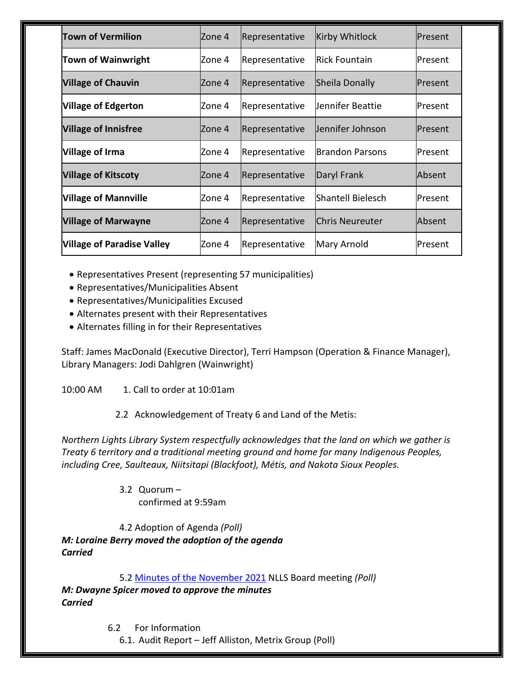| <b>Town of Vermilion</b>          | Zone 4  | Representative | <b>Kirby Whitlock</b>  | Present   |
|-----------------------------------|---------|----------------|------------------------|-----------|
| <b>Town of Wainwright</b>         | Zone 4  | Representative | <b>Rick Fountain</b>   | Present   |
| <b>Village of Chauvin</b>         | lZone 4 | Representative | Sheila Donally         | Present   |
| <b>Village of Edgerton</b>        | Zone 4  | Representative | Jennifer Beattie       | Present   |
| <b>Village of Innisfree</b>       | Zone 4  | Representative | Jennifer Johnson       | Present   |
| Village of Irma                   | Zone 4  | Representative | lBrandon Parsons       | Present   |
| <b>Village of Kitscoty</b>        | lZone 4 | Representative | Daryl Frank            | Absent    |
| <b>Village of Mannville</b>       | Zone 4  | Representative | Shantell Bielesch      | lPresent. |
| <b>Village of Marwayne</b>        | lZone 4 | Representative | <b>Chris Neureuter</b> | Absent    |
| <b>Village of Paradise Valley</b> | Zone 4  | Representative | Mary Arnold            | Present   |

- Representatives Present (representing 57 municipalities)
- Representatives/Municipalities Absent
- Representatives/Municipalities Excused
- Alternates present with their Representatives
- Alternates filling in for their Representatives

Staff: James MacDonald (Executive Director), Terri Hampson (Operation & Finance Manager), Library Managers: Jodi Dahlgren (Wainwright)

10:00 AM 1. Call to order at 10:01am

2.2 Acknowledgement of Treaty 6 and Land of the Metis:

*Northern Lights Library System respectfully acknowledges that the land on which we gather is Treaty 6 territory and a traditional meeting ground and home for many Indigenous Peoples, including Cree, Saulteaux, Niitsitapi (Blackfoot), Métis, and Nakota Sioux Peoples.*

> 3.2 Quorum – confirmed at 9:59am

4.2 Adoption of Agenda *(Poll) M: Loraine Berry moved the adoption of the agenda Carried*

5.2 [Minutes of the](https://nlls-my.sharepoint.com/:b:/g/personal/jmacdonald_nlls_ab_ca/EVQHCmc2KPBChPQtBijqzfEBdzs6lEnvyWBMH1rsqzvfCQ?e=aQBqru) November 2021 NLLS Board meeting *(Poll) M: Dwayne Spicer moved to approve the minutes Carried*

6.2 For Information

6.1. Audit Report – Jeff Alliston, Metrix Group (Poll)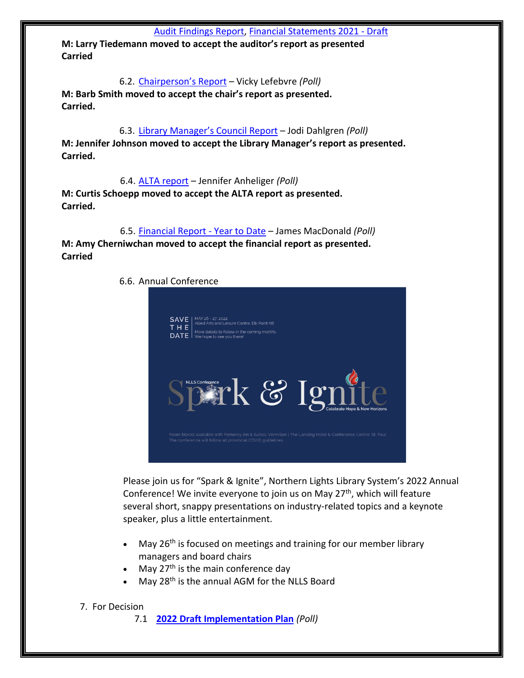**M: Larry Tiedemann moved to accept the auditor's report as presented Carried**

6.2. [Chairperson's Report](https://nlls-my.sharepoint.com/:b:/g/personal/jmacdonald_nlls_ab_ca/ET4pPSQOHBhAuw2HmgdbYoABQG7m9LuRaVUFWGnD8K2Bkw?e=zH70Lc) – Vicky Lefebvre *(Poll)* **M: Barb Smith moved to accept the chair's report as presented. Carried.**

6.3. Library Manager['s Council Report](https://nlls-my.sharepoint.com/:b:/g/personal/jmacdonald_nlls_ab_ca/EWzyKYq8AKJCkO8dNXWh35gBKVeWNYghTcGQMlOOGOQs-g?e=aLtbQC) – Jodi Dahlgren *(Poll)* **M: Jennifer Johnson moved to accept the Library Manager's report as presented. Carried.** 

6.4. [ALTA report](https://nlls-my.sharepoint.com/:b:/g/personal/jmacdonald_nlls_ab_ca/Eag41vo7141Ms6NXAfQkFYQBW9GIV58ITdLPfqH3t-epOw?e=tvww5e) – Jennifer Anheliger *(Poll)* **M: Curtis Schoepp moved to accept the ALTA report as presented. Carried.**

6.5. [Financial Report - Year to Date](https://nlls-my.sharepoint.com/:x:/g/personal/thampson_nlls_ab_ca/EUTVaH4JjF1PuPoKKH7AkHQB52SFYfi2anrKhi-C5WxnbA?e=YrQj5Z) – James MacDonald *(Poll)* **M: Amy Cherniwchan moved to accept the financial report as presented. Carried**



Please join us for "Spark & Ignite", Northern Lights Library System's 2022 Annual Conference! We invite everyone to join us on May 27<sup>th</sup>, which will feature several short, snappy presentations on industry-related topics and a keynote speaker, plus a little entertainment.

- May  $26<sup>th</sup>$  is focused on meetings and training for our member library managers and board chairs
- May  $27<sup>th</sup>$  is the main conference day
- May 28<sup>th</sup> is the annual AGM for the NLLS Board

#### 7. For Decision

7.1 **[2022 Draft Implementation Plan](https://nlls-my.sharepoint.com/:w:/g/personal/jmacdonald_nlls_ab_ca/EdAkpUBZugRBpP8w0WbUMsUBxrt1tkZMeLBB76fQ47pDgg?e=NZsB4O)** *(Poll)*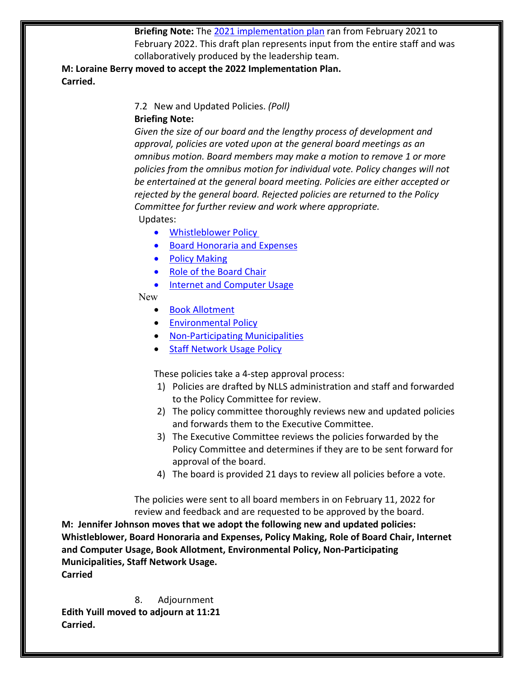**Briefing Note:** The [2021 implementation plan](https://nlls-my.sharepoint.com/:b:/g/personal/jmacdonald_nlls_ab_ca/ESnrl0KldrRMgOEoyoFZXykBoJNUS6hWIzGTj9lXKOHnqg?e=mbC7zP) ran from February 2021 to February 2022. This draft plan represents input from the entire staff and was collaboratively produced by the leadership team.

**M: Loraine Berry moved to accept the 2022 Implementation Plan. Carried.**

> 7.2 New and Updated Policies. *(Poll)* **Briefing Note:**

*Given the size of our board and the lengthy process of development and approval, policies are voted upon at the general board meetings as an omnibus motion. Board members may make a motion to remove 1 or more policies from the omnibus motion for individual vote. Policy changes will not be entertained at the general board meeting. Policies are either accepted or rejected by the general board. Rejected policies are returned to the Policy Committee for further review and work where appropriate.* Updates:

- [Whistleblower Policy](https://nlls-my.sharepoint.com/:w:/g/personal/jmacdonald_nlls_ab_ca/EZ9WWugmD25GiRG1HDaJ4mcB2Aj27WVFsSry3pZmfkKQhg?e=34I4kT)
- [Board Honoraria and Expenses](https://nlls-my.sharepoint.com/:w:/g/personal/jmacdonald_nlls_ab_ca/EeRJAZYNUa1Poz5-oZlQcsgBNsPKziY3l_ChB2cRFkaBlQ?e=EZaKLl)
- [Policy Making](https://nlls-my.sharepoint.com/:w:/g/personal/jmacdonald_nlls_ab_ca/ESjMRXqomMBJlPr-bP7YswcBBSu26gqpQb2KwfnYygg5ow?e=kMCBOx)
- [Role of the Board Chair](https://nlls-my.sharepoint.com/:w:/g/personal/jmacdonald_nlls_ab_ca/EdY7v6Xzz19Hv7XM6h-ihMYBOiiIIi7y1p8sMFvdLax0lA?e=zPXdci)
- [Internet and Computer Usage](https://nlls-my.sharepoint.com/:w:/g/personal/jmacdonald_nlls_ab_ca/EeKe-7inJthKkg0bvdhoctsBFmqClZTEISTGIEnjv-0hvQ?e=sPBfPk)

#### New

- [Book Allotment](https://nlls-my.sharepoint.com/:w:/g/personal/jmacdonald_nlls_ab_ca/EQLt0hu3cv1Ghv6eIpra-fQBZDlXqy261wXHEdhojlTgQw?e=spiMfA)
- [Environmental Policy](https://nlls-my.sharepoint.com/:w:/g/personal/jmacdonald_nlls_ab_ca/EYWRR9YYwFBGrMvaMEtRxs8BxNfFugD6H4zzm8P0T1-JFQ?e=qFnGeq)
- Non-[Participating Municipalities](https://nlls-my.sharepoint.com/:w:/g/personal/jmacdonald_nlls_ab_ca/ETyy9TOHkHBEiYM0uJlUAkwByjvn_7HHgRs2L7kiewJAVw?e=7GKMud)
- **[Staff Network Usage Policy](https://nlls-my.sharepoint.com/:w:/g/personal/jmacdonald_nlls_ab_ca/EbBmCTyipSBEubSsApPLtD4B4k1V6yTNRhDzfIGHOzv7kg?e=fngdVa)**

These policies take a 4-step approval process:

- 1) Policies are drafted by NLLS administration and staff and forwarded to the Policy Committee for review.
- 2) The policy committee thoroughly reviews new and updated policies and forwards them to the Executive Committee.
- 3) The Executive Committee reviews the policies forwarded by the Policy Committee and determines if they are to be sent forward for approval of the board.
- 4) The board is provided 21 days to review all policies before a vote.

The policies were sent to all board members in on February 11, 2022 for review and feedback and are requested to be approved by the board.

**M: Jennifer Johnson moves that we adopt the following new and updated policies: Whistleblower, Board Honoraria and Expenses, Policy Making, Role of Board Chair, Internet and Computer Usage, Book Allotment, Environmental Policy, Non-Participating Municipalities, Staff Network Usage. Carried**

8. Adjournment **Edith Yuill moved to adjourn at 11:21 Carried.**